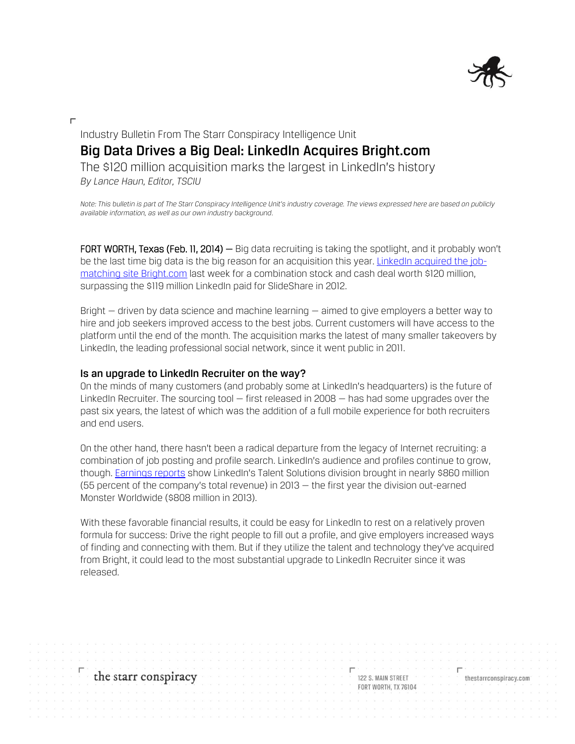

# Industry Bulletin From The Starr Conspiracy Intelligence Unit **Big Data Drives a Big Deal: LinkedIn Acquires Bright.com** The \$120 million acquisition marks the largest in LinkedIn's history

*By Lance Haun, Editor, TSCIU*

*Note: This bulletin is part of The Starr Conspiracy Intelligence Unit's industry coverage. The views expressed here are based on publicly available information, as well as our own industry background.*

FORT WORTH, Texas (Feb. 11, 2014) – Big data recruiting is taking the spotlight, and it probably won't be the last time big data is the big reason for an acquisition this year. [LinkedIn acquired the job](http://techcrunch.com/2014/02/06/linkedin-snatches-up-data-savvy-job-search-startup-bright-com-for-120m-in-its-largest-acquisition-to-date/)[matching site Bright.com](http://techcrunch.com/2014/02/06/linkedin-snatches-up-data-savvy-job-search-startup-bright-com-for-120m-in-its-largest-acquisition-to-date/) last week for a combination stock and cash deal worth \$120 million, surpassing the \$119 million LinkedIn paid for SlideShare in 2012.

Bright — driven by data science and machine learning — aimed to give employers a better way to hire and job seekers improved access to the best jobs. Current customers will have access to the platform until the end of the month. The acquisition marks the latest of many smaller takeovers by LinkedIn, the leading professional social network, since it went public in 2011.

#### **Is an upgrade to LinkedIn Recruiter on the way?**

On the minds of many customers (and probably some at LinkedIn's headquarters) is the future of LinkedIn Recruiter. The sourcing tool – first released in 2008 – has had some upgrades over the past six years, the latest of which was the addition of a full mobile experience for both recruiters and end users.

On the other hand, there hasn't been a radical departure from the legacy of Internet recruiting: a combination of job posting and profile search. LinkedIn's audience and profiles continue to grow, though[. Earnings reports](http://investors.linkedin.com/releasedetail.cfm?ReleaseID=823992) show LinkedIn's Talent Solutions division brought in nearly \$860 million (55 percent of the company's total revenue) in 2013 — the first year the division out-earned Monster Worldwide (\$808 million in 2013).

With these favorable financial results, it could be easy for LinkedIn to rest on a relatively proven formula for success: Drive the right people to fill out a profile, and give employers increased ways of finding and connecting with them. But if they utilize the talent and technology they've acquired from Bright, it could lead to the most substantial upgrade to LinkedIn Recruiter since it was released.

the starr conspiracy 122 S. MAIN STREET thestarrconspiracy.com **FORT WORTH: TX 76104**